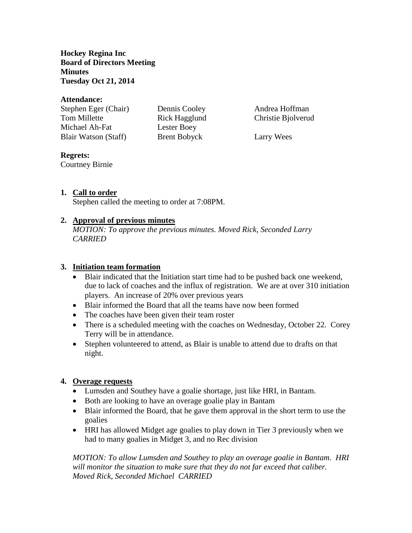**Hockey Regina Inc Board of Directors Meeting Minutes Tuesday Oct 21, 2014**

#### **Attendance:**

| Stephen Eger (Chair)        |
|-----------------------------|
| <b>Tom Millette</b>         |
| Michael Ah-Fat              |
| <b>Blair Watson (Staff)</b> |

Lester Boey Brent Bobyck Larry Wees

Dennis Cooley Andrea Hoffman Rick Hagglund Christie Bjolverud

### **Regrets:**

Courtney Birnie

## **1. Call to order**

Stephen called the meeting to order at 7:08PM.

### **2. Approval of previous minutes**

*MOTION: To approve the previous minutes. Moved Rick, Seconded Larry CARRIED*

### **3. Initiation team formation**

- Blair indicated that the Initiation start time had to be pushed back one weekend, due to lack of coaches and the influx of registration. We are at over 310 initiation players. An increase of 20% over previous years
- Blair informed the Board that all the teams have now been formed
- The coaches have been given their team roster
- There is a scheduled meeting with the coaches on Wednesday, October 22. Corey Terry will be in attendance.
- Stephen volunteered to attend, as Blair is unable to attend due to drafts on that night.

## **4. Overage requests**

- Lumsden and Southey have a goalie shortage, just like HRI, in Bantam.
- Both are looking to have an overage goalie play in Bantam
- Blair informed the Board, that he gave them approval in the short term to use the goalies
- HRI has allowed Midget age goalies to play down in Tier 3 previously when we had to many goalies in Midget 3, and no Rec division

*MOTION: To allow Lumsden and Southey to play an overage goalie in Bantam. HRI will monitor the situation to make sure that they do not far exceed that caliber. Moved Rick, Seconded Michael CARRIED*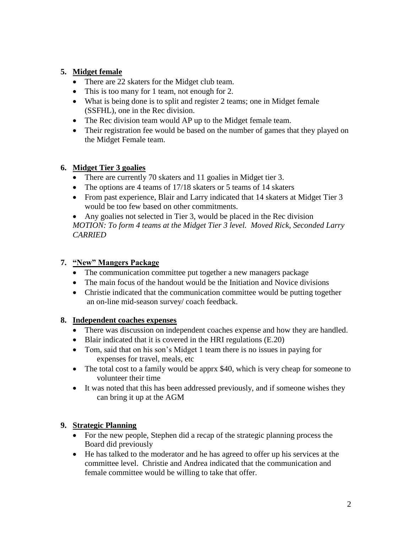# **5. Midget female**

- There are 22 skaters for the Midget club team.
- This is too many for 1 team, not enough for 2.
- What is being done is to split and register 2 teams; one in Midget female (SSFHL), one in the Rec division.
- The Rec division team would AP up to the Midget female team.
- Their registration fee would be based on the number of games that they played on the Midget Female team.

### **6. Midget Tier 3 goalies**

- There are currently 70 skaters and 11 goalies in Midget tier 3.
- The options are 4 teams of 17/18 skaters or 5 teams of 14 skaters
- From past experience, Blair and Larry indicated that 14 skaters at Midget Tier 3 would be too few based on other commitments.

 Any goalies not selected in Tier 3, would be placed in the Rec division *MOTION: To form 4 teams at the Midget Tier 3 level. Moved Rick, Seconded Larry CARRIED*

# **7. "New" Mangers Package**

- The communication committee put together a new managers package
- The main focus of the handout would be the Initiation and Novice divisions
- Christie indicated that the communication committee would be putting together an on-line mid-season survey/ coach feedback.

## **8. Independent coaches expenses**

- There was discussion on independent coaches expense and how they are handled.
- Blair indicated that it is covered in the HRI regulations (E.20)
- Tom, said that on his son's Midget 1 team there is no issues in paying for expenses for travel, meals, etc
- The total cost to a family would be apprx \$40, which is very cheap for someone to volunteer their time
- It was noted that this has been addressed previously, and if someone wishes they can bring it up at the AGM

## **9. Strategic Planning**

- For the new people, Stephen did a recap of the strategic planning process the Board did previously
- He has talked to the moderator and he has agreed to offer up his services at the committee level. Christie and Andrea indicated that the communication and female committee would be willing to take that offer.